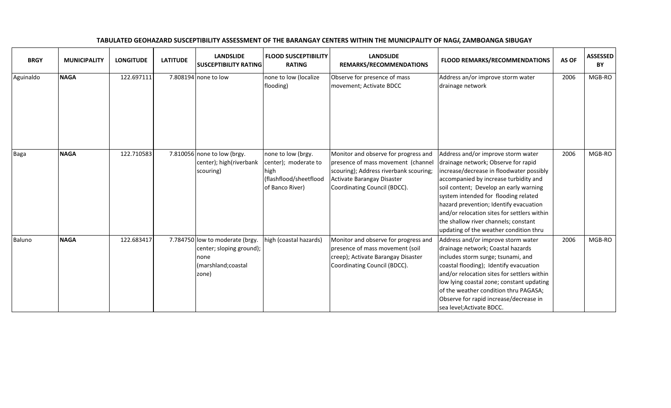| <b>BRGY</b> | <b>MUNICIPALITY</b> | <b>LONGITUDE</b> | <b>LATITUDE</b> | <b>LANDSLIDE</b><br><b>SUSCEPTIBILITY RATING</b>                                                    | <b>FLOOD SUSCEPTIBILITY</b><br><b>RATING</b>                                                    | <b>LANDSLIDE</b><br>REMARKS/RECOMMENDATIONS                                                                                                                                        | <b>FLOOD REMARKS/RECOMMENDATIONS</b>                                                                                                                                                                                                                                                                                                                                                                                        | AS OF | <b>ASSESSED</b><br>BY |
|-------------|---------------------|------------------|-----------------|-----------------------------------------------------------------------------------------------------|-------------------------------------------------------------------------------------------------|------------------------------------------------------------------------------------------------------------------------------------------------------------------------------------|-----------------------------------------------------------------------------------------------------------------------------------------------------------------------------------------------------------------------------------------------------------------------------------------------------------------------------------------------------------------------------------------------------------------------------|-------|-----------------------|
| Aguinaldo   | <b>NAGA</b>         | 122.697111       |                 | 7.808194 none to low                                                                                | none to low (localize<br>flooding)                                                              | Observe for presence of mass<br>movement; Activate BDCC                                                                                                                            | Address an/or improve storm water<br>drainage network                                                                                                                                                                                                                                                                                                                                                                       | 2006  | MGB-RO                |
| Baga        | <b>NAGA</b>         | 122.710583       |                 | 7.810056 none to low (brgy.<br>center); high(riverbank<br>scouring)                                 | none to low (brgy.<br>center); moderate to<br>high<br>(flashflood/sheetflood<br>of Banco River) | Monitor and observe for progress and<br>presence of mass movement (channel<br>scouring); Address riverbank scouring;<br>Activate Barangay Disaster<br>Coordinating Council (BDCC). | Address and/or improve storm water<br>drainage network; Observe for rapid<br>increase/decrease in floodwater possibly<br>accompanied by increase turbidity and<br>soil content; Develop an early warning<br>system intended for flooding related<br>hazard prevention; Identify evacuation<br>and/or relocation sites for settlers within<br>the shallow river channels; constant<br>updating of the weather condition thru | 2006  | MGB-RO                |
| Baluno      | <b>NAGA</b>         | 122.683417       |                 | 7.784750 low to moderate (brgy.<br>center; sloping ground);<br>none<br>(marshland; coastal<br>zone) | igh (coastal hazards)                                                                           | Monitor and observe for progress and<br>presence of mass movement (soil<br>creep); Activate Barangay Disaster<br>Coordinating Council (BDCC).                                      | Address and/or improve storm water<br>drainage network; Coastal hazards<br>includes storm surge; tsunami, and<br>coastal flooding); Identify evacuation<br>and/or relocation sites for settlers within<br>low lying coastal zone; constant updating<br>of the weather condition thru PAGASA;<br>Observe for rapid increase/decrease in<br>sea level;Activate BDCC.                                                          | 2006  | MGB-RO                |

## TABULATED GEOHAZARD SUSCEPTIBILITY ASSESSMENT OF THE BARANGAY CENTERS WITHIN THE MUNICIPALITY OF NAGI, ZAMBOANGA SIBUGAY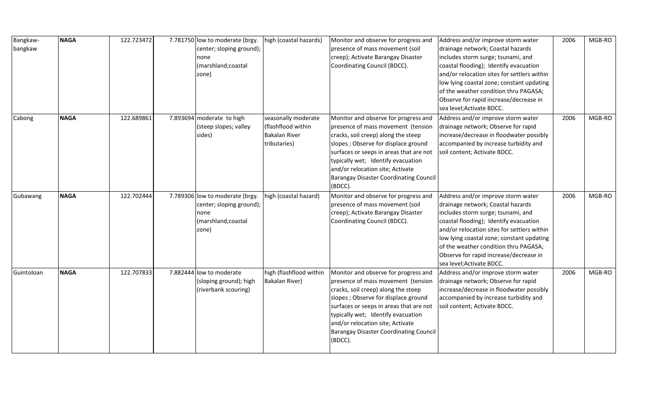| Bangkaw-<br>bangkaw | <b>NAGA</b> | 122.723472 | 7.781750 low to moderate (brgy.<br>center; sloping ground);<br>none<br>(marshland; coastal<br>zone) | high (coastal hazards)                                                            | Monitor and observe for progress and<br>presence of mass movement (soil<br>creep); Activate Barangay Disaster<br>Coordinating Council (BDCC).                                                                                                                                                                                              | Address and/or improve storm water<br>drainage network; Coastal hazards<br>includes storm surge; tsunami, and<br>coastal flooding); Identify evacuation<br>and/or relocation sites for settlers within<br>low lying coastal zone; constant updating<br>of the weather condition thru PAGASA;<br>Observe for rapid increase/decrease in<br>sea level; Activate BDCC. | 2006 | MGB-RO |
|---------------------|-------------|------------|-----------------------------------------------------------------------------------------------------|-----------------------------------------------------------------------------------|--------------------------------------------------------------------------------------------------------------------------------------------------------------------------------------------------------------------------------------------------------------------------------------------------------------------------------------------|---------------------------------------------------------------------------------------------------------------------------------------------------------------------------------------------------------------------------------------------------------------------------------------------------------------------------------------------------------------------|------|--------|
| Cabong              | <b>NAGA</b> | 122.689861 | 7.893694 moderate to high<br>(steep slopes; valley<br>sides)                                        | seasonally moderate<br>(flashflood within<br><b>Bakalan River</b><br>tributaries) | Monitor and observe for progress and<br>presence of mass movement (tension<br>cracks, soil creep) along the steep<br>slopes ; Observe for displace ground<br>surfaces or seeps in areas that are not<br>typically wet; Identify evacuation<br>and/or relocation site; Activate<br><b>Barangay Disaster Coordinating Council</b><br>(BDCC). | Address and/or improve storm water<br>drainage network; Observe for rapid<br>increase/decrease in floodwater possibly<br>accompanied by increase turbidity and<br>soil content; Activate BDCC.                                                                                                                                                                      | 2006 | MGB-RO |
| Gubawang            | <b>NAGA</b> | 122.702444 | 7.789306 low to moderate (brgy.<br>center; sloping ground);<br>none<br>(marshland; coastal<br>zone) | high (coastal hazard)                                                             | Monitor and observe for progress and<br>presence of mass movement (soil<br>creep); Activate Barangay Disaster<br>Coordinating Council (BDCC).                                                                                                                                                                                              | Address and/or improve storm water<br>drainage network; Coastal hazards<br>includes storm surge; tsunami, and<br>coastal flooding); Identify evacuation<br>and/or relocation sites for settlers within<br>low lying coastal zone; constant updating<br>of the weather condition thru PAGASA;<br>Observe for rapid increase/decrease in<br>sea level; Activate BDCC. | 2006 | MGB-RO |
| Guintoloan          | <b>NAGA</b> | 122.707833 | 7.882444 low to moderate<br>(sloping ground); high<br>(riverbank scouring)                          | high (flashflood within<br><b>Bakalan River)</b>                                  | Monitor and observe for progress and<br>presence of mass movement (tension<br>cracks, soil creep) along the steep<br>slopes ; Observe for displace ground<br>surfaces or seeps in areas that are not<br>typically wet; Identify evacuation<br>and/or relocation site; Activate<br><b>Barangay Disaster Coordinating Council</b><br>(BDCC). | Address and/or improve storm water<br>drainage network; Observe for rapid<br>increase/decrease in floodwater possibly<br>accompanied by increase turbidity and<br>soil content; Activate BDCC.                                                                                                                                                                      | 2006 | MGB-RO |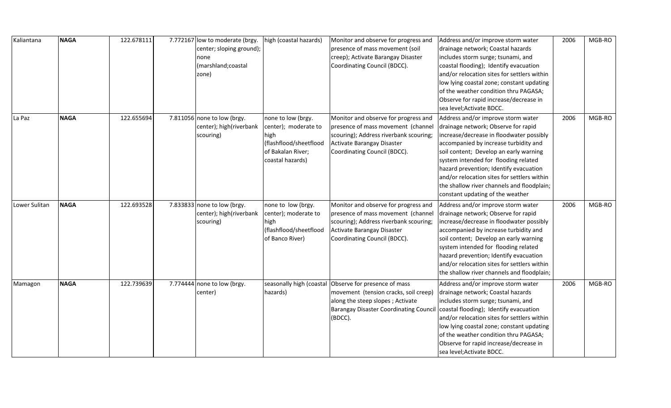| Kaliantana    | <b>NAGA</b> | 122.678111 | 7.772167 low to moderate (brgy.<br>center; sloping ground);<br>none<br>(marshland; coastal<br>zone) | high (coastal hazards)                                                                                                | Monitor and observe for progress and<br>presence of mass movement (soil<br>creep); Activate Barangay Disaster<br>Coordinating Council (BDCC).                                                  | Address and/or improve storm water<br>drainage network; Coastal hazards<br>includes storm surge; tsunami, and<br>coastal flooding); Identify evacuation<br>and/or relocation sites for settlers within<br>low lying coastal zone; constant updating<br>of the weather condition thru PAGASA;<br>Observe for rapid increase/decrease in<br>sea level; Activate BDCC.                                                         | 2006 | MGB-RO |
|---------------|-------------|------------|-----------------------------------------------------------------------------------------------------|-----------------------------------------------------------------------------------------------------------------------|------------------------------------------------------------------------------------------------------------------------------------------------------------------------------------------------|-----------------------------------------------------------------------------------------------------------------------------------------------------------------------------------------------------------------------------------------------------------------------------------------------------------------------------------------------------------------------------------------------------------------------------|------|--------|
| La Paz        | <b>NAGA</b> | 122.655694 | 7.811056 none to low (brgy.<br>center); high(riverbank<br>scouring)                                 | none to low (brgy.<br>center); moderate to<br>high<br>(flashflood/sheetflood<br>of Bakalan River;<br>coastal hazards) | Monitor and observe for progress and<br>presence of mass movement (channel<br>scouring); Address riverbank scouring;<br>Activate Barangay Disaster<br>Coordinating Council (BDCC).             | Address and/or improve storm water<br>drainage network; Observe for rapid<br>increase/decrease in floodwater possibly<br>accompanied by increase turbidity and<br>soil content; Develop an early warning<br>system intended for flooding related<br>hazard prevention; Identify evacuation<br>and/or relocation sites for settlers within<br>the shallow river channels and floodplain;<br>constant updating of the weather | 2006 | MGB-RO |
| Lower Sulitan | <b>NAGA</b> | 122.693528 | 7.833833 none to low (brgy.<br>center); high(riverbank<br>scouring)                                 | none to low (brgy.<br>center); moderate to<br>high<br>(flashflood/sheetflood<br>of Banco River)                       | Monitor and observe for progress and<br>presence of mass movement (channel<br>scouring); Address riverbank scouring;<br>Activate Barangay Disaster<br>Coordinating Council (BDCC).             | Address and/or improve storm water<br>drainage network; Observe for rapid<br>increase/decrease in floodwater possibly<br>accompanied by increase turbidity and<br>soil content; Develop an early warning<br>system intended for flooding related<br>hazard prevention; Identify evacuation<br>and/or relocation sites for settlers within<br>the shallow river channels and floodplain;                                     | 2006 | MGB-RO |
| Mamagon       | <b>NAGA</b> | 122.739639 | 7.774444 none to low (brgy.<br>center)                                                              | hazards)                                                                                                              | seasonally high (coastal Observe for presence of mass<br>movement (tension cracks, soil creep)<br>along the steep slopes; Activate<br><b>Barangay Disaster Coordinating Council</b><br>(BDCC). | Address and/or improve storm water<br>drainage network; Coastal hazards<br>includes storm surge; tsunami, and<br>coastal flooding); Identify evacuation<br>and/or relocation sites for settlers within<br>low lying coastal zone; constant updating<br>of the weather condition thru PAGASA;<br>Observe for rapid increase/decrease in<br>sea level; Activate BDCC.                                                         | 2006 | MGB-RO |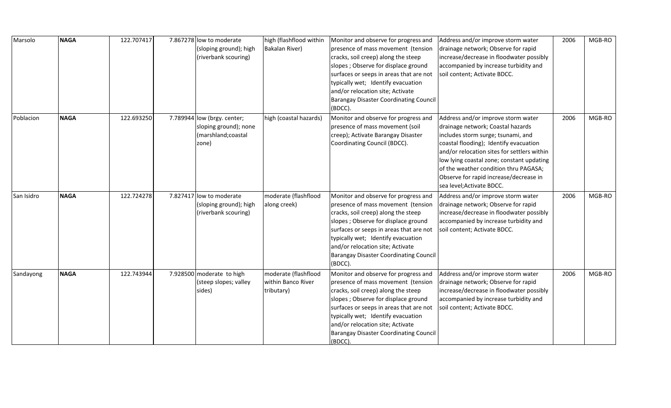| Marsolo    | <b>NAGA</b> | 122.707417 | 7.867278 low to moderate    | high (flashflood within | Monitor and observe for progress and          | Address and/or improve storm water          | 2006 | MGB-RO |
|------------|-------------|------------|-----------------------------|-------------------------|-----------------------------------------------|---------------------------------------------|------|--------|
|            |             |            | (sloping ground); high      | Bakalan River)          | presence of mass movement (tension            | drainage network; Observe for rapid         |      |        |
|            |             |            | (riverbank scouring)        |                         | cracks, soil creep) along the steep           | increase/decrease in floodwater possibly    |      |        |
|            |             |            |                             |                         | slopes; Observe for displace ground           | accompanied by increase turbidity and       |      |        |
|            |             |            |                             |                         | surfaces or seeps in areas that are not       | soil content; Activate BDCC.                |      |        |
|            |             |            |                             |                         | typically wet; Identify evacuation            |                                             |      |        |
|            |             |            |                             |                         | and/or relocation site; Activate              |                                             |      |        |
|            |             |            |                             |                         | <b>Barangay Disaster Coordinating Council</b> |                                             |      |        |
|            |             |            |                             |                         | (BDCC).                                       |                                             |      |        |
| Poblacion  | <b>NAGA</b> | 122.693250 | 7.789944 low (brgy. center; | high (coastal hazards)  | Monitor and observe for progress and          | Address and/or improve storm water          | 2006 | MGB-RO |
|            |             |            | sloping ground); none       |                         | presence of mass movement (soil               | drainage network; Coastal hazards           |      |        |
|            |             |            | (marshland; coastal         |                         | creep); Activate Barangay Disaster            | includes storm surge; tsunami, and          |      |        |
|            |             |            | zone)                       |                         | Coordinating Council (BDCC).                  | coastal flooding); Identify evacuation      |      |        |
|            |             |            |                             |                         |                                               | and/or relocation sites for settlers within |      |        |
|            |             |            |                             |                         |                                               | low lying coastal zone; constant updating   |      |        |
|            |             |            |                             |                         |                                               | of the weather condition thru PAGASA;       |      |        |
|            |             |            |                             |                         |                                               | Observe for rapid increase/decrease in      |      |        |
|            |             |            |                             |                         |                                               | sea level; Activate BDCC.                   |      |        |
| San Isidro | <b>NAGA</b> | 122.724278 | 7.827417 low to moderate    | moderate (flashflood    | Monitor and observe for progress and          | Address and/or improve storm water          | 2006 | MGB-RO |
|            |             |            | (sloping ground); high      | along creek)            | presence of mass movement (tension            | drainage network; Observe for rapid         |      |        |
|            |             |            | (riverbank scouring)        |                         | cracks, soil creep) along the steep           | increase/decrease in floodwater possibly    |      |        |
|            |             |            |                             |                         | slopes ; Observe for displace ground          | accompanied by increase turbidity and       |      |        |
|            |             |            |                             |                         | surfaces or seeps in areas that are not       | soil content; Activate BDCC.                |      |        |
|            |             |            |                             |                         | typically wet; Identify evacuation            |                                             |      |        |
|            |             |            |                             |                         | and/or relocation site; Activate              |                                             |      |        |
|            |             |            |                             |                         | <b>Barangay Disaster Coordinating Council</b> |                                             |      |        |
|            |             |            |                             |                         | (BDCC).                                       |                                             |      |        |
| Sandayong  | <b>NAGA</b> | 122.743944 | 7.928500 moderate to high   | moderate (flashflood    | Monitor and observe for progress and          | Address and/or improve storm water          | 2006 | MGB-RO |
|            |             |            | (steep slopes; valley       | within Banco River      | presence of mass movement (tension            | drainage network; Observe for rapid         |      |        |
|            |             |            | sides)                      | tributary)              | cracks, soil creep) along the steep           | increase/decrease in floodwater possibly    |      |        |
|            |             |            |                             |                         | slopes ; Observe for displace ground          | accompanied by increase turbidity and       |      |        |
|            |             |            |                             |                         | surfaces or seeps in areas that are not       | soil content; Activate BDCC.                |      |        |
|            |             |            |                             |                         | typically wet; Identify evacuation            |                                             |      |        |
|            |             |            |                             |                         | and/or relocation site; Activate              |                                             |      |        |
|            |             |            |                             |                         | <b>Barangay Disaster Coordinating Council</b> |                                             |      |        |
|            |             |            |                             |                         | (BDCC).                                       |                                             |      |        |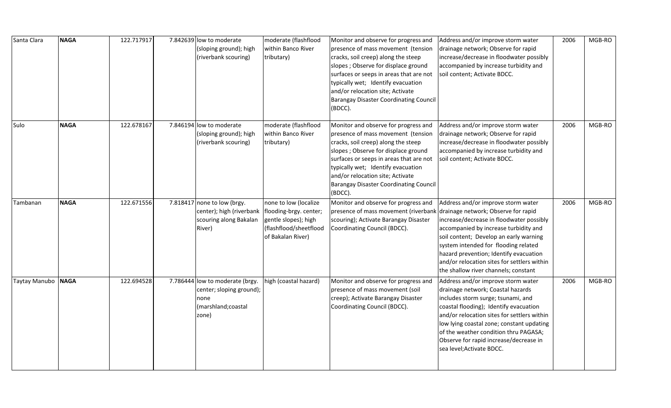| Santa Clara        | <b>NAGA</b> | 122.717917 | 7.842639 low to moderate<br>(sloping ground); high<br>(riverbank scouring)                                           | moderate (flashflood<br>within Banco River<br>tributary)                                     | Monitor and observe for progress and<br>presence of mass movement (tension<br>cracks, soil creep) along the steep<br>slopes ; Observe for displace ground<br>surfaces or seeps in areas that are not<br>typically wet; Identify evacuation<br>and/or relocation site; Activate<br><b>Barangay Disaster Coordinating Council</b><br>(BDCC). | Address and/or improve storm water<br>drainage network; Observe for rapid<br>increase/decrease in floodwater possibly<br>accompanied by increase turbidity and<br>soil content; Activate BDCC.                                                                                                                                                                      | 2006 | MGB-RO |
|--------------------|-------------|------------|----------------------------------------------------------------------------------------------------------------------|----------------------------------------------------------------------------------------------|--------------------------------------------------------------------------------------------------------------------------------------------------------------------------------------------------------------------------------------------------------------------------------------------------------------------------------------------|---------------------------------------------------------------------------------------------------------------------------------------------------------------------------------------------------------------------------------------------------------------------------------------------------------------------------------------------------------------------|------|--------|
| Sulo               | <b>NAGA</b> | 122.678167 | 7.846194 low to moderate<br>(sloping ground); high<br>(riverbank scouring)                                           | moderate (flashflood<br>within Banco River<br>tributary)                                     | Monitor and observe for progress and<br>presence of mass movement (tension<br>cracks, soil creep) along the steep<br>slopes ; Observe for displace ground<br>surfaces or seeps in areas that are not<br>typically wet; Identify evacuation<br>and/or relocation site; Activate<br><b>Barangay Disaster Coordinating Council</b><br>(BDCC). | Address and/or improve storm water<br>drainage network; Observe for rapid<br>increase/decrease in floodwater possibly<br>accompanied by increase turbidity and<br>soil content; Activate BDCC.                                                                                                                                                                      | 2006 | MGB-RO |
| Tambanan           | <b>NAGA</b> | 122.671556 | 7.818417 none to low (brgy.<br>center); high (riverbank   flooding-brgy. center;<br>scouring along Bakalan<br>River) | none to low (localize<br>gentle slopes); high<br>(flashflood/sheetflood<br>of Bakalan River) | Monitor and observe for progress and<br>presence of mass movement (riverbank drainage network; Observe for rapid<br>scouring); Activate Barangay Disaster<br>Coordinating Council (BDCC).                                                                                                                                                  | Address and/or improve storm water<br>increase/decrease in floodwater possibly<br>accompanied by increase turbidity and<br>soil content; Develop an early warning<br>system intended for flooding related<br>hazard prevention; Identify evacuation<br>and/or relocation sites for settlers within<br>the shallow river channels; constant                          | 2006 | MGB-RO |
| Taytay Manubo NAGA |             | 122.694528 | 7.786444 low to moderate (brgy.<br>center; sloping ground);<br>none<br>(marshland; coastal<br>zone)                  | high (coastal hazard)                                                                        | Monitor and observe for progress and<br>presence of mass movement (soil<br>creep); Activate Barangay Disaster<br>Coordinating Council (BDCC).                                                                                                                                                                                              | Address and/or improve storm water<br>drainage network; Coastal hazards<br>includes storm surge; tsunami, and<br>coastal flooding); Identify evacuation<br>and/or relocation sites for settlers within<br>low lying coastal zone; constant updating<br>of the weather condition thru PAGASA;<br>Observe for rapid increase/decrease in<br>sea level; Activate BDCC. | 2006 | MGB-RO |